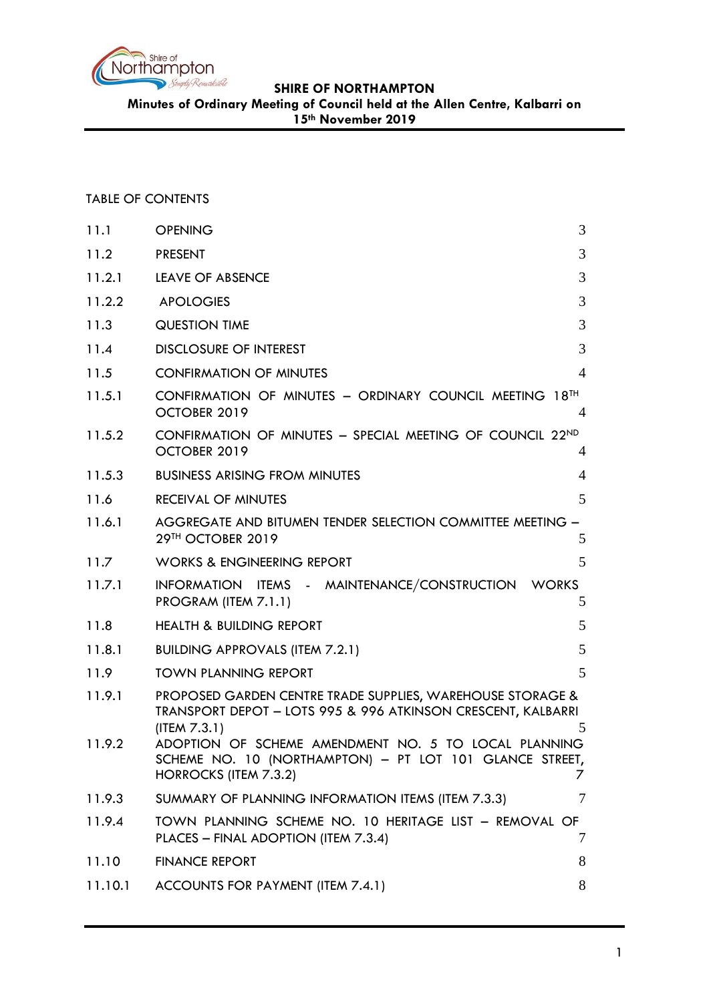

**Minutes of Ordinary Meeting of Council held at the Allen Centre, Kalbarri on** 

**15th November 2019**

# TABLE OF CONTENTS

| 11.1    | <b>OPENING</b>                                                                                                                                  | 3              |
|---------|-------------------------------------------------------------------------------------------------------------------------------------------------|----------------|
| 11.2    | <b>PRESENT</b>                                                                                                                                  | 3              |
| 11.2.1  | <b>LEAVE OF ABSENCE</b>                                                                                                                         | 3              |
| 11.2.2  | <b>APOLOGIES</b>                                                                                                                                | 3              |
| 11.3    | <b>QUESTION TIME</b>                                                                                                                            | 3              |
| 11.4    | <b>DISCLOSURE OF INTEREST</b>                                                                                                                   | 3              |
| 11.5    | <b>CONFIRMATION OF MINUTES</b>                                                                                                                  | $\overline{4}$ |
| 11.5.1  | CONFIRMATION OF MINUTES - ORDINARY COUNCIL MEETING 18TH<br>OCTOBER 2019                                                                         | $\overline{4}$ |
| 11.5.2  | CONFIRMATION OF MINUTES - SPECIAL MEETING OF COUNCIL 22ND<br>OCTOBER 2019                                                                       | $\overline{4}$ |
| 11.5.3  | <b>BUSINESS ARISING FROM MINUTES</b>                                                                                                            | $\overline{4}$ |
| 11.6    | <b>RECEIVAL OF MINUTES</b>                                                                                                                      | 5              |
| 11.6.1  | AGGREGATE AND BITUMEN TENDER SELECTION COMMITTEE MEETING -<br>29TH OCTOBER 2019                                                                 | 5              |
| 11.7    | <b>WORKS &amp; ENGINEERING REPORT</b>                                                                                                           | 5              |
| 11.7.1  | INFORMATION ITEMS - MAINTENANCE/CONSTRUCTION<br><b>WORKS</b><br>PROGRAM (ITEM 7.1.1)                                                            | 5              |
| 11.8    | <b>HEALTH &amp; BUILDING REPORT</b>                                                                                                             | 5              |
| 11.8.1  | <b>BUILDING APPROVALS (ITEM 7.2.1)</b>                                                                                                          | 5              |
| 11.9    | <b>TOWN PLANNING REPORT</b>                                                                                                                     | 5              |
| 11.9.1  | PROPOSED GARDEN CENTRE TRADE SUPPLIES, WAREHOUSE STORAGE &<br>TRANSPORT DEPOT - LOTS 995 & 996 ATKINSON CRESCENT, KALBARRI<br>(ITER 7.3.1)      | 5              |
| 11.9.2  | ADOPTION OF SCHEME AMENDMENT NO. 5 TO LOCAL PLANNING<br>SCHEME NO. 10 (NORTHAMPTON) - PT LOT 101 GLANCE STREET,<br><b>HORROCKS (ITEM 7.3.2)</b> |                |
| 11.9.3  | SUMMARY OF PLANNING INFORMATION ITEMS (ITEM 7.3.3)                                                                                              | 7              |
| 11.9.4  | TOWN PLANNING SCHEME NO. 10 HERITAGE LIST - REMOVAL OF<br>PLACES - FINAL ADOPTION (ITEM 7.3.4)                                                  | 7              |
| 11.10   | <b>FINANCE REPORT</b>                                                                                                                           | 8              |
| 11.10.1 | ACCOUNTS FOR PAYMENT (ITEM 7.4.1)                                                                                                               | 8              |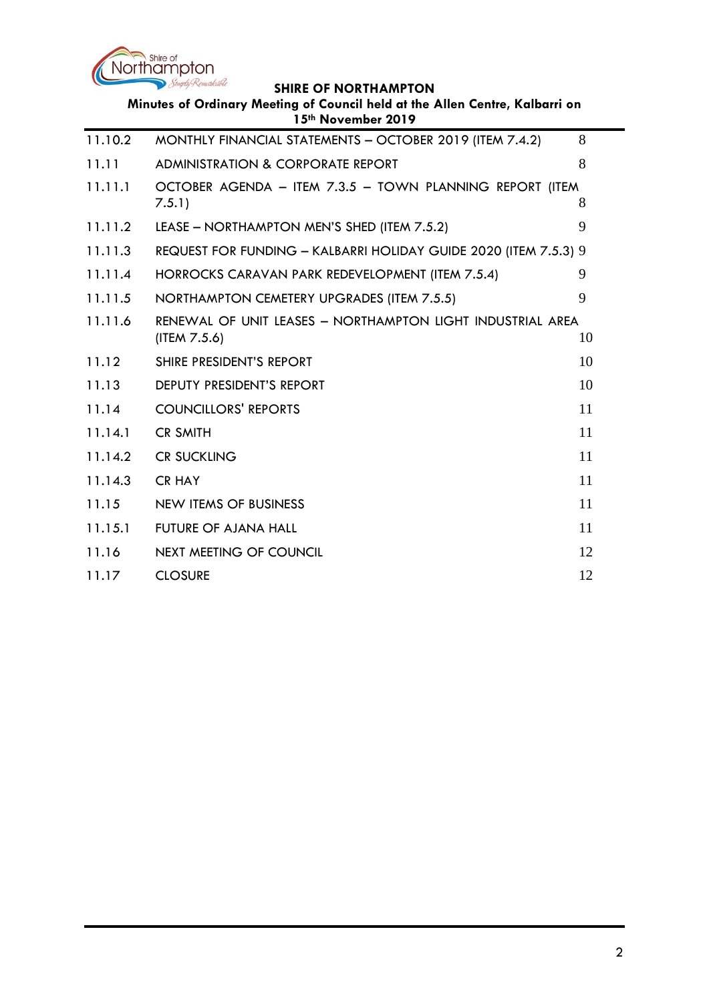

| Minutes of Ordinary Meeting of Council held at the Allen Centre, Kalbarri on<br>15th November 2019 |                                                                            |    |  |  |  |
|----------------------------------------------------------------------------------------------------|----------------------------------------------------------------------------|----|--|--|--|
| 11.10.2                                                                                            | MONTHLY FINANCIAL STATEMENTS - OCTOBER 2019 (ITEM 7.4.2)                   | 8  |  |  |  |
| 11.11                                                                                              | <b>ADMINISTRATION &amp; CORPORATE REPORT</b>                               | 8  |  |  |  |
| 11.11.1                                                                                            | OCTOBER AGENDA - ITEM 7.3.5 - TOWN PLANNING REPORT (ITEM<br>7.5.1)         | 8  |  |  |  |
| 11.11.2                                                                                            | LEASE - NORTHAMPTON MEN'S SHED (ITEM 7.5.2)                                | 9  |  |  |  |
| 11.11.3                                                                                            | REQUEST FOR FUNDING - KALBARRI HOLIDAY GUIDE 2020 (ITEM 7.5.3) 9           |    |  |  |  |
| 11.11.4                                                                                            | HORROCKS CARAVAN PARK REDEVELOPMENT (ITEM 7.5.4)                           | 9  |  |  |  |
| 11.11.5                                                                                            | NORTHAMPTON CEMETERY UPGRADES (ITEM 7.5.5)                                 | 9  |  |  |  |
| 11.11.6                                                                                            | RENEWAL OF UNIT LEASES - NORTHAMPTON LIGHT INDUSTRIAL AREA<br>(ITEM 7.5.6) | 10 |  |  |  |
| 11.12                                                                                              | SHIRE PRESIDENT'S REPORT                                                   | 10 |  |  |  |
| 11.13                                                                                              | DEPUTY PRESIDENT'S REPORT                                                  | 10 |  |  |  |
| 11.14                                                                                              | <b>COUNCILLORS' REPORTS</b>                                                | 11 |  |  |  |
| 11.14.1                                                                                            | <b>CR SMITH</b>                                                            | 11 |  |  |  |
| 11.14.2                                                                                            | <b>CR SUCKLING</b>                                                         | 11 |  |  |  |
| 11.14.3                                                                                            | <b>CR HAY</b>                                                              | 11 |  |  |  |
| 11.15                                                                                              | <b>NEW ITEMS OF BUSINESS</b>                                               | 11 |  |  |  |
| 11.15.1                                                                                            | <b>FUTURE OF AJANA HALL</b>                                                | 11 |  |  |  |
| 11.16                                                                                              | <b>NEXT MEETING OF COUNCIL</b>                                             | 12 |  |  |  |
| 11.17                                                                                              | <b>CLOSURE</b>                                                             | 12 |  |  |  |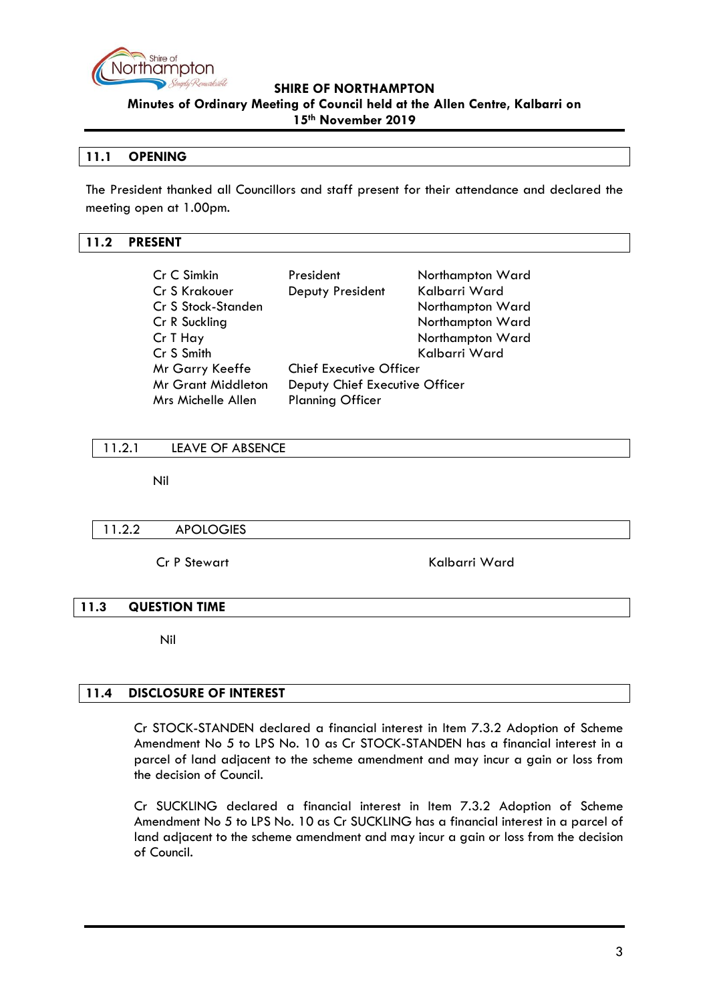

**Minutes of Ordinary Meeting of Council held at the Allen Centre, Kalbarri on 15th November 2019**

# <span id="page-2-0"></span>**11.1 OPENING**

The President thanked all Councillors and staff present for their attendance and declared the meeting open at 1.00pm.

### <span id="page-2-1"></span>**11.2 PRESENT**

| Cr C Simkin               | President                      | Northampton Ward |  |
|---------------------------|--------------------------------|------------------|--|
| Cr S Krakouer             | Deputy President               | Kalbarri Ward    |  |
| Cr S Stock-Standen        |                                | Northampton Ward |  |
| Cr R Suckling             |                                | Northampton Ward |  |
| Cr T Hay                  |                                | Northampton Ward |  |
| Cr S Smith                |                                | Kalbarri Ward    |  |
| Mr Garry Keeffe           | <b>Chief Executive Officer</b> |                  |  |
| <b>Mr Grant Middleton</b> | Deputy Chief Executive Officer |                  |  |
| Mrs Michelle Allen        | <b>Planning Officer</b>        |                  |  |

#### <span id="page-2-2"></span>11.2.1 LEAVE OF ABSENCE

Nil

#### <span id="page-2-3"></span>11.2.2 APOLOGIES

Cr P Stewart Kalbarri Ward

#### <span id="page-2-4"></span>**11.3 QUESTION TIME**

Nil

# <span id="page-2-5"></span>**11.4 DISCLOSURE OF INTEREST**

Cr STOCK-STANDEN declared a financial interest in Item 7.3.2 Adoption of Scheme Amendment No 5 to LPS No. 10 as Cr STOCK-STANDEN has a financial interest in a parcel of land adjacent to the scheme amendment and may incur a gain or loss from the decision of Council.

Cr SUCKLING declared a financial interest in Item 7.3.2 Adoption of Scheme Amendment No 5 to LPS No. 10 as Cr SUCKLING has a financial interest in a parcel of land adjacent to the scheme amendment and may incur a gain or loss from the decision of Council.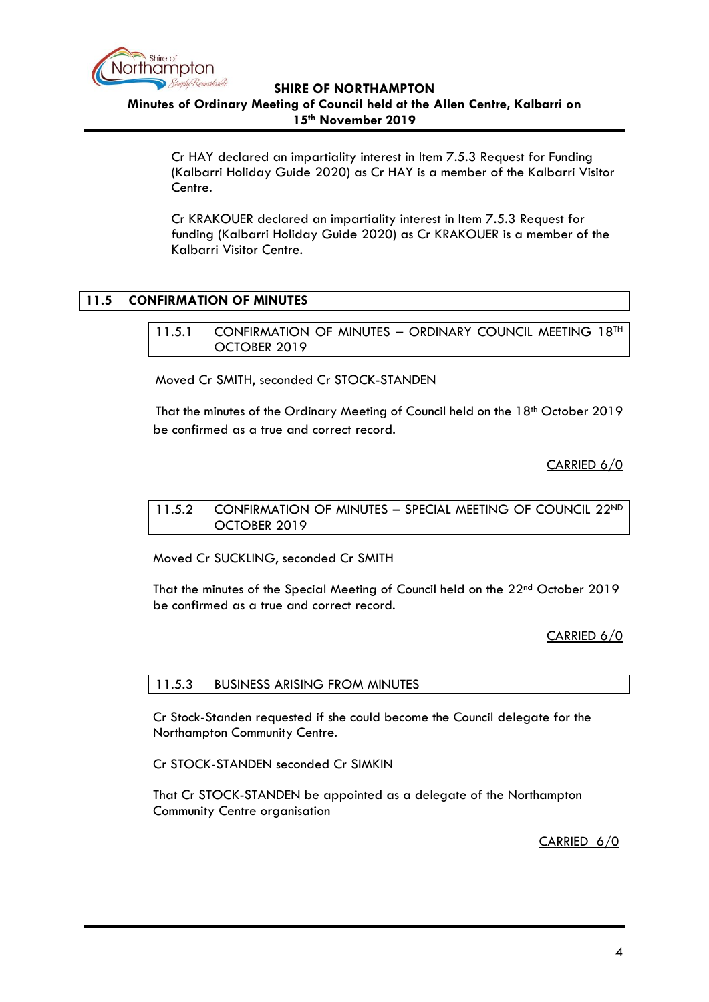

**15th November 2019**

Cr HAY declared an impartiality interest in Item 7.5.3 Request for Funding (Kalbarri Holiday Guide 2020) as Cr HAY is a member of the Kalbarri Visitor Centre.

Cr KRAKOUER declared an impartiality interest in Item 7.5.3 Request for funding (Kalbarri Holiday Guide 2020) as Cr KRAKOUER is a member of the Kalbarri Visitor Centre.

# <span id="page-3-1"></span><span id="page-3-0"></span>**11.5 CONFIRMATION OF MINUTES**

11.5.1 CONFIRMATION OF MINUTES - ORDINARY COUNCIL MEETING 18TH OCTOBER 2019

Moved Cr SMITH, seconded Cr STOCK-STANDEN

That the minutes of the Ordinary Meeting of Council held on the 18<sup>th</sup> October 2019 be confirmed as a true and correct record.

# CARRIED 6/0

<span id="page-3-2"></span>11.5.2 CONFIRMATION OF MINUTES - SPECIAL MEETING OF COUNCIL 22ND OCTOBER 2019

Moved Cr SUCKLING, seconded Cr SMITH

That the minutes of the Special Meeting of Council held on the 22nd October 2019 be confirmed as a true and correct record.

CARRIED 6/0

<span id="page-3-3"></span>11.5.3 BUSINESS ARISING FROM MINUTES

Cr Stock-Standen requested if she could become the Council delegate for the Northampton Community Centre.

Cr STOCK-STANDEN seconded Cr SIMKIN

That Cr STOCK-STANDEN be appointed as a delegate of the Northampton Community Centre organisation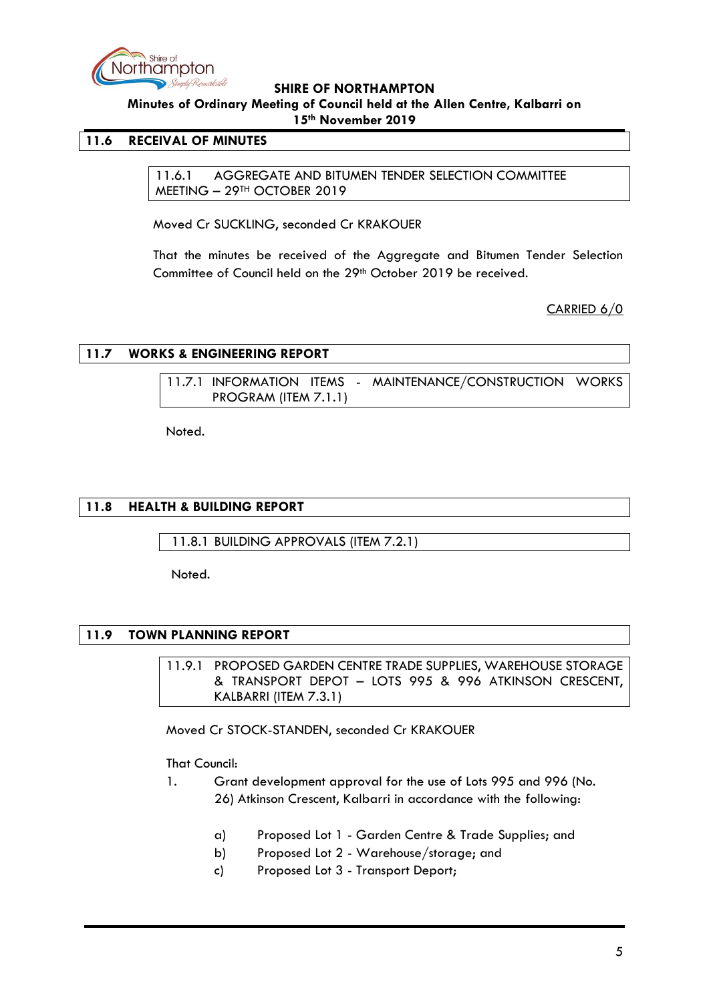

**Minutes of Ordinary Meeting of Council held at the Allen Centre, Kalbarri on** 

**15th November 2019**

# <span id="page-4-1"></span><span id="page-4-0"></span>**11.6 RECEIVAL OF MINUTES**

11.6.1 AGGREGATE AND BITUMEN TENDER SELECTION COMMITTEE MEETING – 29TH OCTOBER 2019

Moved Cr SUCKLING, seconded Cr KRAKOUER

That the minutes be received of the Aggregate and Bitumen Tender Selection Committee of Council held on the 29<sup>th</sup> October 2019 be received.

CARRIED 6/0

# <span id="page-4-3"></span><span id="page-4-2"></span>**11.7 WORKS & ENGINEERING REPORT**

11.7.1 INFORMATION ITEMS - MAINTENANCE/CONSTRUCTION WORKS PROGRAM (ITEM 7.1.1)

Noted.

# <span id="page-4-4"></span>**11.8 HEALTH & BUILDING REPORT**

<span id="page-4-5"></span>11.8.1 BUILDING APPROVALS (ITEM 7.2.1)

Noted.

# <span id="page-4-7"></span><span id="page-4-6"></span>**11.9 TOWN PLANNING REPORT**

11.9.1 PROPOSED GARDEN CENTRE TRADE SUPPLIES, WAREHOUSE STORAGE & TRANSPORT DEPOT – LOTS 995 & 996 ATKINSON CRESCENT, KALBARRI (ITEM 7.3.1)

Moved Cr STOCK-STANDEN, seconded Cr KRAKOUER

# That Council:

- 1. Grant development approval for the use of Lots 995 and 996 (No. 26) Atkinson Crescent, Kalbarri in accordance with the following:
	- a) Proposed Lot 1 Garden Centre & Trade Supplies; and
	- b) Proposed Lot 2 Warehouse/storage; and
	- c) Proposed Lot 3 Transport Deport;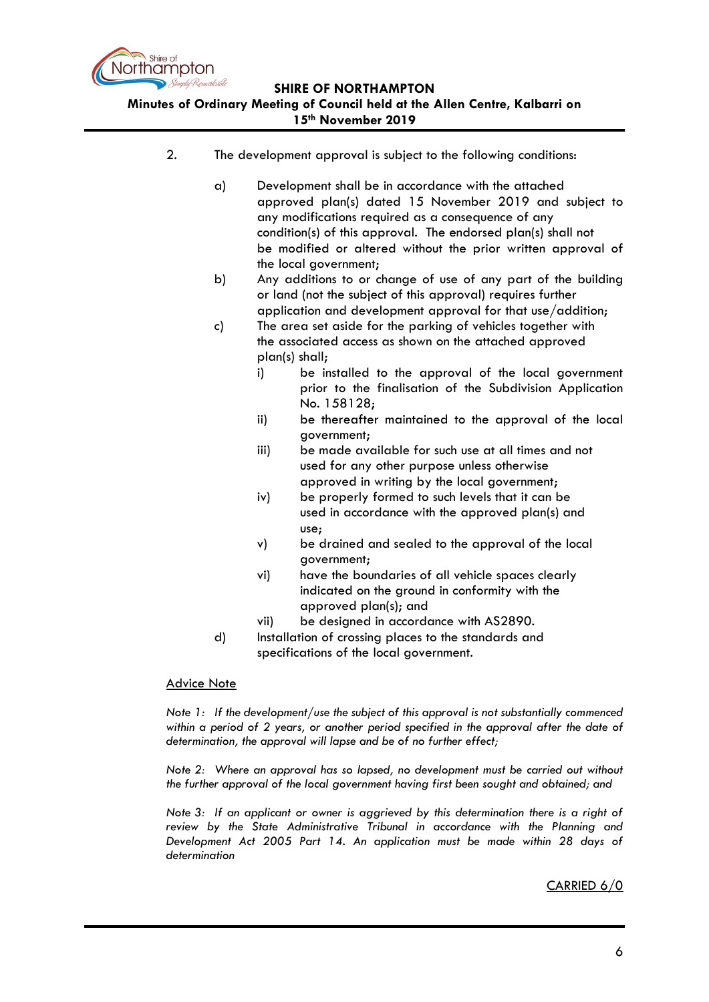

#### **Minutes of Ordinary Meeting of Council held at the Allen Centre, Kalbarri on 15th November 2019**

- 2. The development approval is subject to the following conditions:
	- a) Development shall be in accordance with the attached approved plan(s) dated 15 November 2019 and subject to any modifications required as a consequence of any condition(s) of this approval. The endorsed plan(s) shall not be modified or altered without the prior written approval of the local government;
	- b) Any additions to or change of use of any part of the building or land (not the subject of this approval) requires further application and development approval for that use/addition;
	- c) The area set aside for the parking of vehicles together with the associated access as shown on the attached approved plan(s) shall;
		- i) be installed to the approval of the local government prior to the finalisation of the Subdivision Application No. 158128;
		- ii) be thereafter maintained to the approval of the local government;
		- iii) be made available for such use at all times and not used for any other purpose unless otherwise approved in writing by the local government;
		- iv) be properly formed to such levels that it can be used in accordance with the approved plan(s) and use;
		- v) be drained and sealed to the approval of the local government;
		- vi) have the boundaries of all vehicle spaces clearly indicated on the ground in conformity with the approved plan(s); and
		- vii) be designed in accordance with AS2890.
	- d) Installation of crossing places to the standards and specifications of the local government.

#### Advice Note

*Note 1: If the development/use the subject of this approval is not substantially commenced within a period of 2 years, or another period specified in the approval after the date of determination, the approval will lapse and be of no further effect;* 

*Note 2: Where an approval has so lapsed, no development must be carried out without the further approval of the local government having first been sought and obtained; and*

*Note 3: If an applicant or owner is aggrieved by this determination there is a right of review by the State Administrative Tribunal in accordance with the Planning and Development Act 2005 Part 14. An application must be made within 28 days of determination*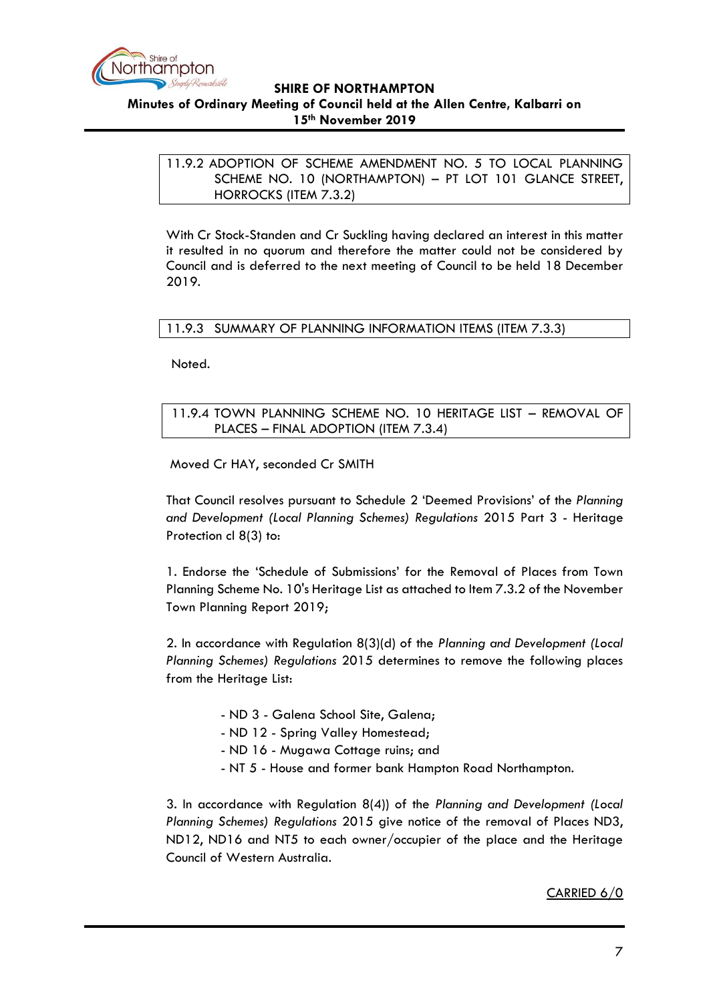

<span id="page-6-0"></span>**Minutes of Ordinary Meeting of Council held at the Allen Centre, Kalbarri on 15th November 2019**

11.9.2 ADOPTION OF SCHEME AMENDMENT NO. 5 TO LOCAL PLANNING SCHEME NO. 10 (NORTHAMPTON) – PT LOT 101 GLANCE STREET, HORROCKS (ITEM 7.3.2)

With Cr Stock-Standen and Cr Suckling having declared an interest in this matter it resulted in no quorum and therefore the matter could not be considered by Council and is deferred to the next meeting of Council to be held 18 December 2019.

# <span id="page-6-1"></span>11.9.3 SUMMARY OF PLANNING INFORMATION ITEMS (ITEM 7.3.3)

Noted.

<span id="page-6-2"></span>11.9.4 TOWN PLANNING SCHEME NO. 10 HERITAGE LIST – REMOVAL OF PLACES – FINAL ADOPTION (ITEM 7.3.4)

Moved Cr HAY, seconded Cr SMITH

That Council resolves pursuant to Schedule 2 'Deemed Provisions' of the *Planning and Development (Local Planning Schemes) Regulations* 2015 Part 3 - Heritage Protection cl 8(3) to:

1. Endorse the 'Schedule of Submissions' for the Removal of Places from Town Planning Scheme No. 10's Heritage List as attached to Item 7.3.2 of the November Town Planning Report 2019;

2. In accordance with Regulation 8(3)(d) of the *Planning and Development (Local Planning Schemes) Regulations* 2015 determines to remove the following places from the Heritage List:

- ND 3 Galena School Site, Galena;
- ND 12 Spring Valley Homestead;
- ND 16 Mugawa Cottage ruins; and
- NT 5 House and former bank Hampton Road Northampton.

3. In accordance with Regulation 8(4)) of the *Planning and Development (Local Planning Schemes) Regulations* 2015 give notice of the removal of Places ND3, ND12, ND16 and NT5 to each owner/occupier of the place and the Heritage Council of Western Australia.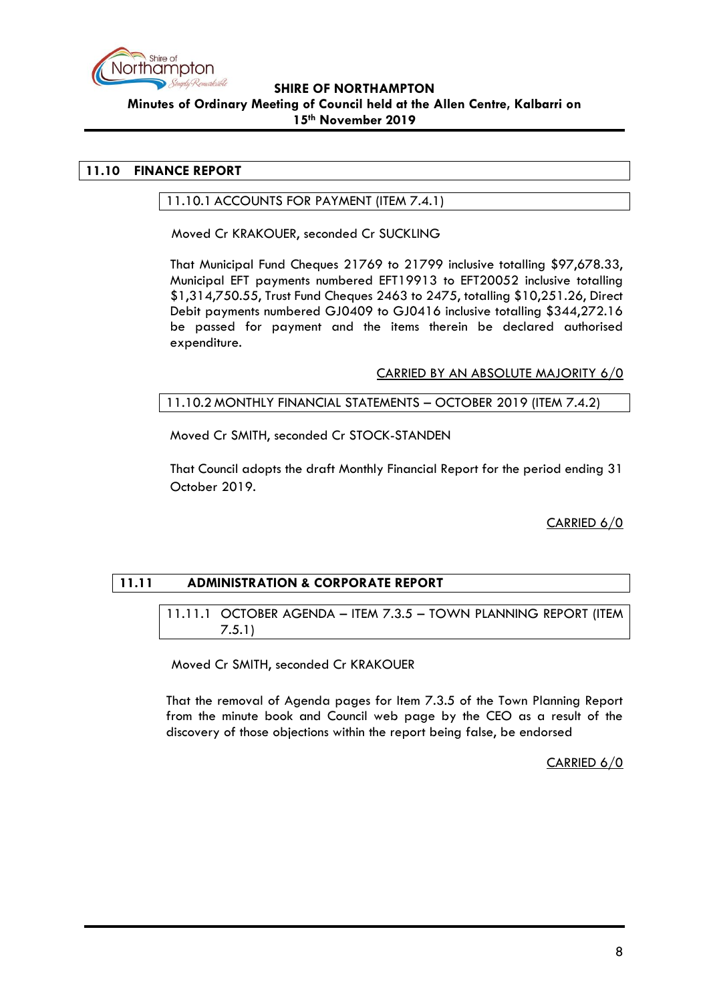

# <span id="page-7-1"></span><span id="page-7-0"></span>**11.10 FINANCE REPORT**

#### 11.10.1 ACCOUNTS FOR PAYMENT (ITEM 7.4.1)

Moved Cr KRAKOUER, seconded Cr SUCKLING

That Municipal Fund Cheques 21769 to 21799 inclusive totalling \$97,678.33, Municipal EFT payments numbered EFT19913 to EFT20052 inclusive totalling \$1,314,750.55, Trust Fund Cheques 2463 to 2475, totalling \$10,251.26, Direct Debit payments numbered GJ0409 to GJ0416 inclusive totalling \$344,272.16 be passed for payment and the items therein be declared authorised expenditure.

CARRIED BY AN ABSOLUTE MAJORITY 6/0

# <span id="page-7-2"></span>11.10.2 MONTHLY FINANCIAL STATEMENTS – OCTOBER 2019 (ITEM 7.4.2)

Moved Cr SMITH, seconded Cr STOCK-STANDEN

That Council adopts the draft Monthly Financial Report for the period ending 31 October 2019.

CARRIED 6/0

# <span id="page-7-4"></span><span id="page-7-3"></span>**11.11 ADMINISTRATION & CORPORATE REPORT**

11.11.1 OCTOBER AGENDA – ITEM 7.3.5 – TOWN PLANNING REPORT (ITEM 7.5.1)

Moved Cr SMITH, seconded Cr KRAKOUER

That the removal of Agenda pages for Item 7.3.5 of the Town Planning Report from the minute book and Council web page by the CEO as a result of the discovery of those objections within the report being false, be endorsed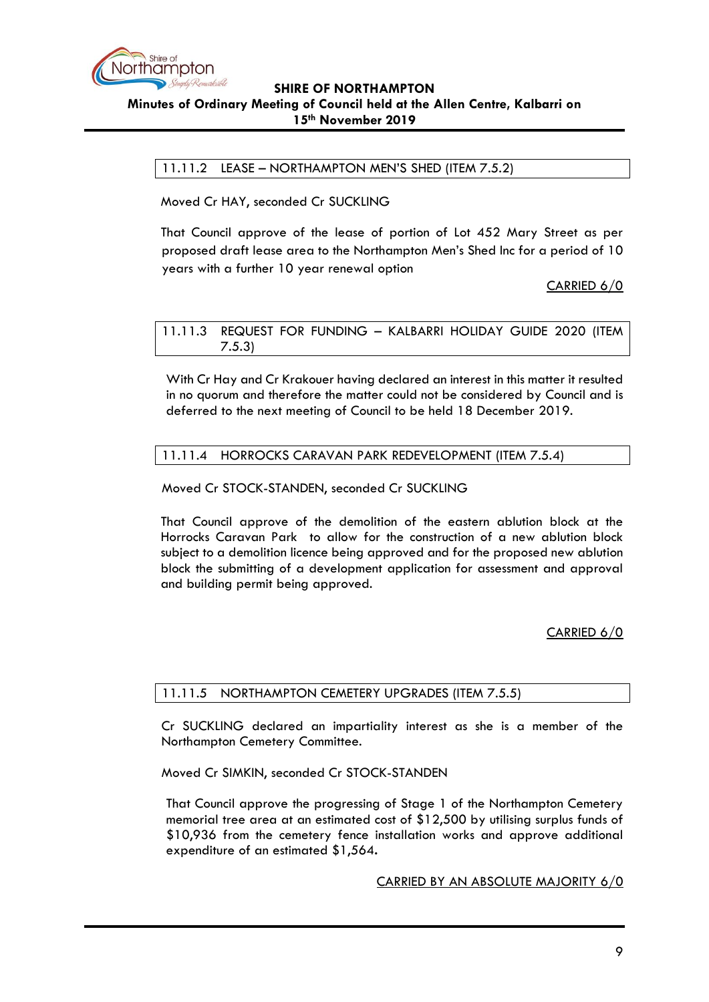

<span id="page-8-0"></span>11.11.2 LEASE – NORTHAMPTON MEN'S SHED (ITEM 7.5.2)

Moved Cr HAY, seconded Cr SUCKLING

That Council approve of the lease of portion of Lot 452 Mary Street as per proposed draft lease area to the Northampton Men's Shed Inc for a period of 10 years with a further 10 year renewal option

CARRIED 6/0

<span id="page-8-1"></span>11.11.3 REQUEST FOR FUNDING – KALBARRI HOLIDAY GUIDE 2020 (ITEM 7.5.3)

With Cr Hay and Cr Krakouer having declared an interest in this matter it resulted in no quorum and therefore the matter could not be considered by Council and is deferred to the next meeting of Council to be held 18 December 2019.

#### <span id="page-8-2"></span>11.11.4 HORROCKS CARAVAN PARK REDEVELOPMENT (ITEM 7.5.4)

Moved Cr STOCK-STANDEN, seconded Cr SUCKLING

That Council approve of the demolition of the eastern ablution block at the Horrocks Caravan Park to allow for the construction of a new ablution block subject to a demolition licence being approved and for the proposed new ablution block the submitting of a development application for assessment and approval and building permit being approved.

CARRIED 6/0

# <span id="page-8-3"></span>11.11.5 NORTHAMPTON CEMETERY UPGRADES (ITEM 7.5.5)

Cr SUCKLING declared an impartiality interest as she is a member of the Northampton Cemetery Committee.

#### Moved Cr SIMKIN, seconded Cr STOCK-STANDEN

That Council approve the progressing of Stage 1 of the Northampton Cemetery memorial tree area at an estimated cost of \$12,500 by utilising surplus funds of \$10,936 from the cemetery fence installation works and approve additional expenditure of an estimated \$1,564**.**

CARRIED BY AN ABSOLUTE MAJORITY 6/0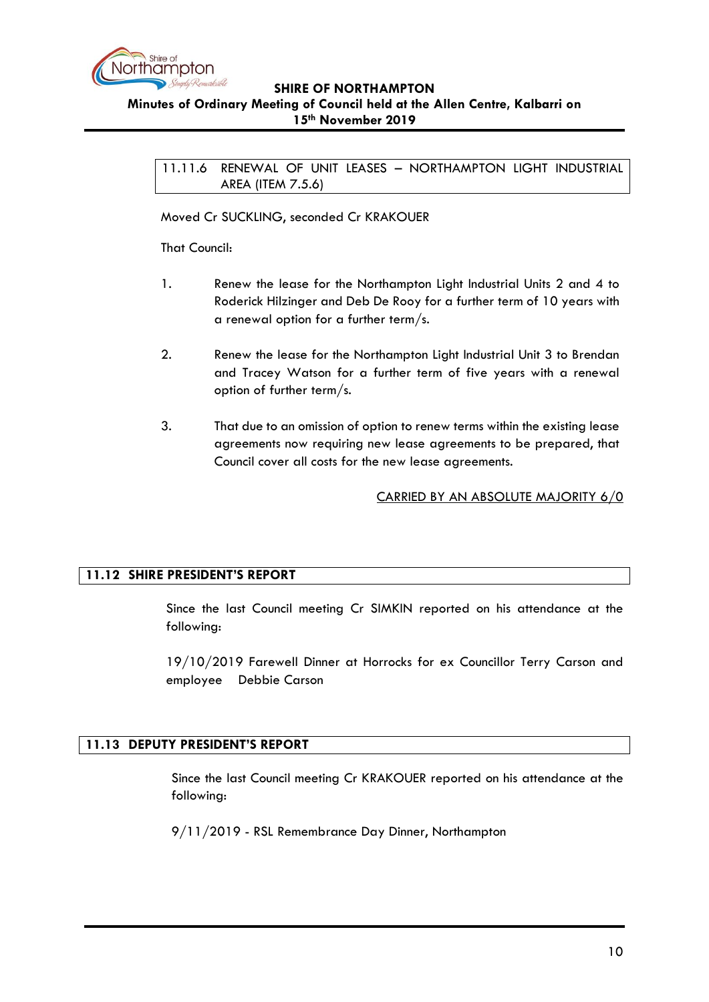

#### <span id="page-9-0"></span>**Minutes of Ordinary Meeting of Council held at the Allen Centre, Kalbarri on 15th November 2019**

11.11.6 RENEWAL OF UNIT LEASES – NORTHAMPTON LIGHT INDUSTRIAL AREA (ITEM 7.5.6)

Moved Cr SUCKLING, seconded Cr KRAKOUER

That Council:

- 1. Renew the lease for the Northampton Light Industrial Units 2 and 4 to Roderick Hilzinger and Deb De Rooy for a further term of 10 years with a renewal option for a further term/s.
- 2. Renew the lease for the Northampton Light Industrial Unit 3 to Brendan and Tracey Watson for a further term of five years with a renewal option of further term/s.
- 3. That due to an omission of option to renew terms within the existing lease agreements now requiring new lease agreements to be prepared, that Council cover all costs for the new lease agreements.

CARRIED BY AN ABSOLUTE MAJORITY 6/0

# <span id="page-9-1"></span>**11.12 SHIRE PRESIDENT'S REPORT**

Since the last Council meeting Cr SIMKIN reported on his attendance at the following:

19/10/2019 Farewell Dinner at Horrocks for ex Councillor Terry Carson and employee Debbie Carson

# <span id="page-9-2"></span>**11.13 DEPUTY PRESIDENT'S REPORT**

Since the last Council meeting Cr KRAKOUER reported on his attendance at the following:

9/11/2019 - RSL Remembrance Day Dinner, Northampton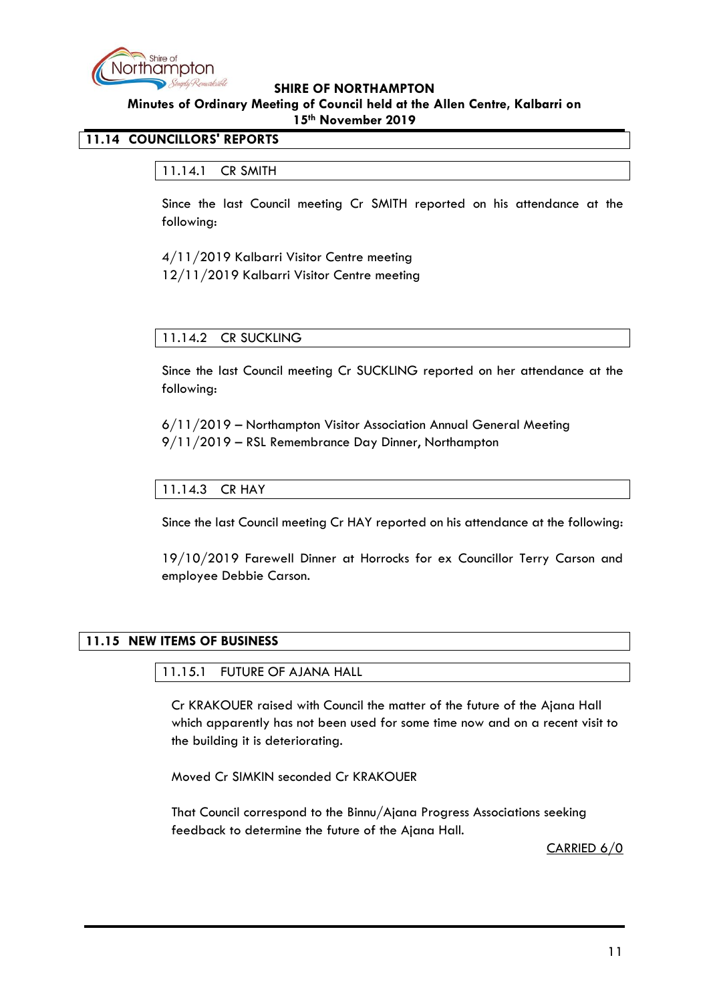

# <span id="page-10-1"></span><span id="page-10-0"></span>**11.14 COUNCILLORS' REPORTS**

# 11.14.1 CR SMITH

Since the last Council meeting Cr SMITH reported on his attendance at the following:

4/11/2019 Kalbarri Visitor Centre meeting 12/11/2019 Kalbarri Visitor Centre meeting

# <span id="page-10-2"></span>11.14.2 CR SUCKLING

Since the last Council meeting Cr SUCKLING reported on her attendance at the following:

6/11/2019 – Northampton Visitor Association Annual General Meeting 9/11/2019 – RSL Remembrance Day Dinner, Northampton

# <span id="page-10-3"></span>11.14.3 CR HAY

Since the last Council meeting Cr HAY reported on his attendance at the following:

19/10/2019 Farewell Dinner at Horrocks for ex Councillor Terry Carson and employee Debbie Carson.

# <span id="page-10-5"></span><span id="page-10-4"></span>**11.15 NEW ITEMS OF BUSINESS**

11.15.1 FUTURE OF AJANA HALL

Cr KRAKOUER raised with Council the matter of the future of the Ajana Hall which apparently has not been used for some time now and on a recent visit to the building it is deteriorating.

Moved Cr SIMKIN seconded Cr KRAKOUER

That Council correspond to the Binnu/Ajana Progress Associations seeking feedback to determine the future of the Ajana Hall.